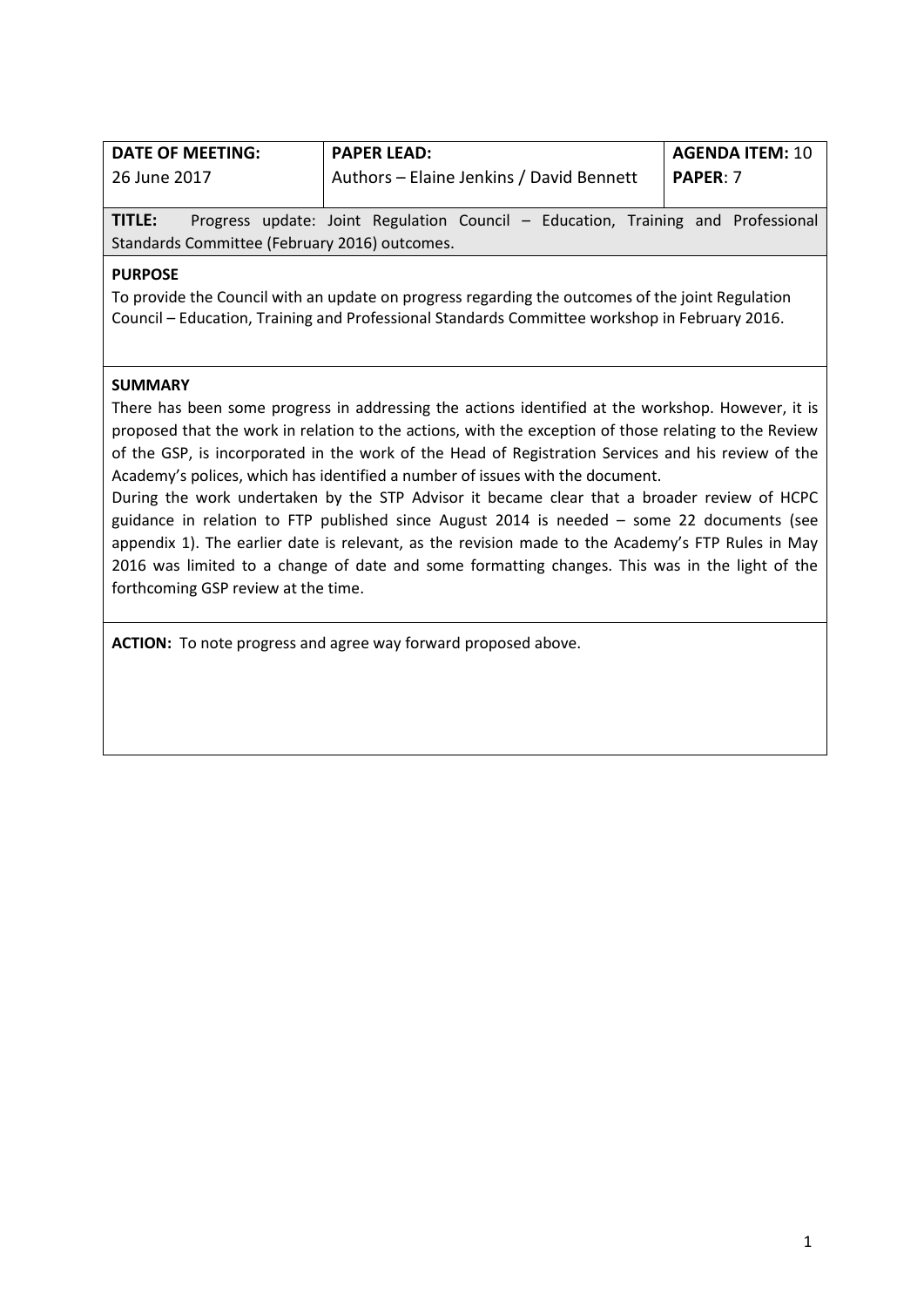| <b>DATE OF MEETING:</b>                       | <b>PAPER LEAD:</b>                                                               | <b>AGENDA ITEM: 10</b> |  |  |
|-----------------------------------------------|----------------------------------------------------------------------------------|------------------------|--|--|
| 26 June 2017                                  | Authors - Elaine Jenkins / David Bennett                                         | <b>PAPER: 7</b>        |  |  |
| TITLE:                                        | Progress update: Joint Regulation Council - Education, Training and Professional |                        |  |  |
| Standards Committee (February 2016) outcomes. |                                                                                  |                        |  |  |

### **PURPOSE**

To provide the Council with an update on progress regarding the outcomes of the joint Regulation Council – Education, Training and Professional Standards Committee workshop in February 2016.

### **SUMMARY**

There has been some progress in addressing the actions identified at the workshop. However, it is proposed that the work in relation to the actions, with the exception of those relating to the Review of the GSP, is incorporated in the work of the Head of Registration Services and his review of the Academy's polices, which has identified a number of issues with the document.

During the work undertaken by the STP Advisor it became clear that a broader review of HCPC guidance in relation to FTP published since August 2014 is needed – some 22 documents (see appendix 1). The earlier date is relevant, as the revision made to the Academy's FTP Rules in May 2016 was limited to a change of date and some formatting changes. This was in the light of the forthcoming GSP review at the time.

**ACTION:** To note progress and agree way forward proposed above.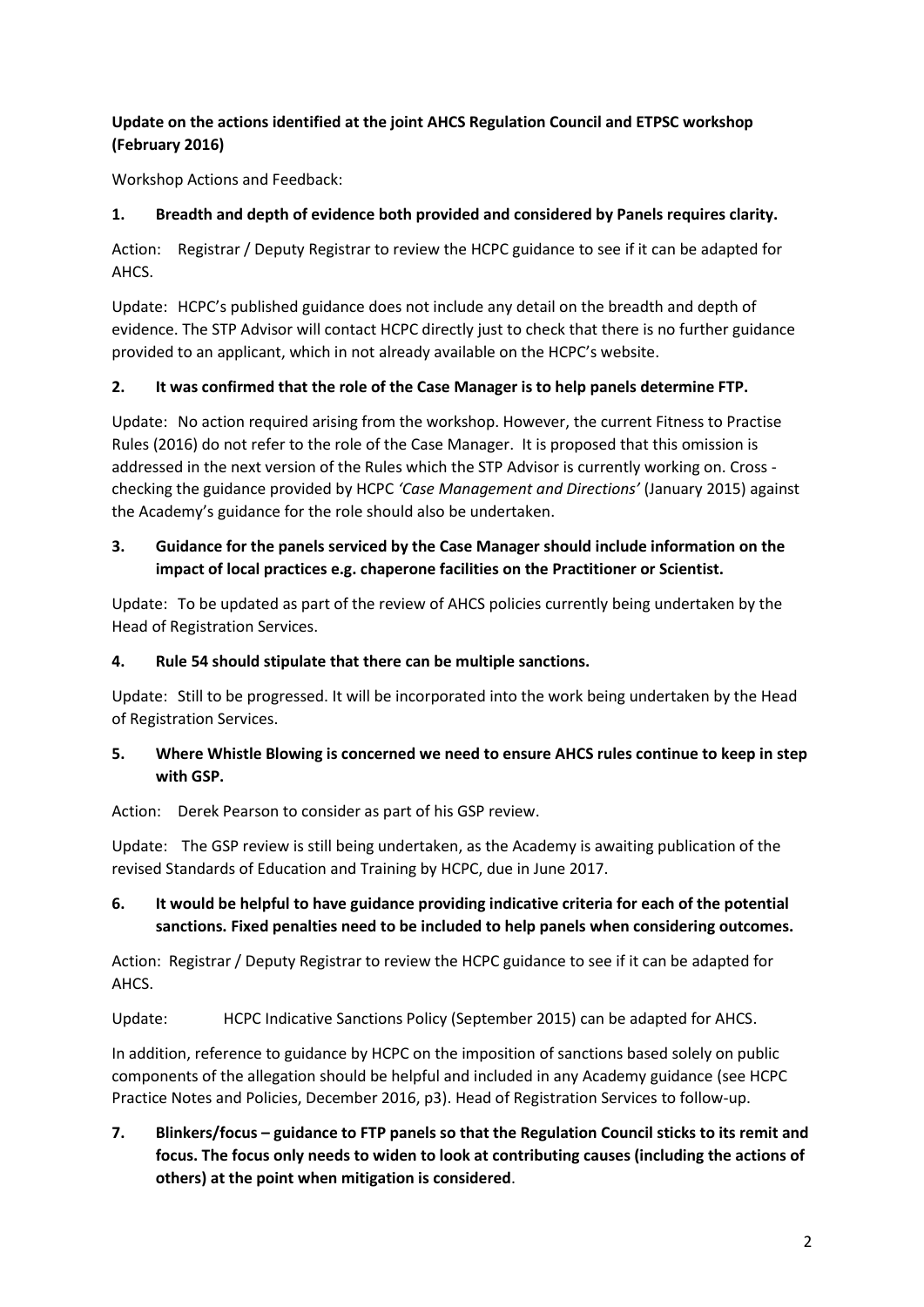# **Update on the actions identified at the joint AHCS Regulation Council and ETPSC workshop (February 2016)**

Workshop Actions and Feedback:

## **1. Breadth and depth of evidence both provided and considered by Panels requires clarity.**

Action: Registrar / Deputy Registrar to review the HCPC guidance to see if it can be adapted for AHCS.

Update: HCPC's published guidance does not include any detail on the breadth and depth of evidence. The STP Advisor will contact HCPC directly just to check that there is no further guidance provided to an applicant, which in not already available on the HCPC's website.

## **2. It was confirmed that the role of the Case Manager is to help panels determine FTP.**

Update: No action required arising from the workshop. However, the current Fitness to Practise Rules (2016) do not refer to the role of the Case Manager. It is proposed that this omission is addressed in the next version of the Rules which the STP Advisor is currently working on. Cross checking the guidance provided by HCPC *'Case Management and Directions'* (January 2015) against the Academy's guidance for the role should also be undertaken.

# **3. Guidance for the panels serviced by the Case Manager should include information on the impact of local practices e.g. chaperone facilities on the Practitioner or Scientist.**

Update: To be updated as part of the review of AHCS policies currently being undertaken by the Head of Registration Services.

## **4. Rule 54 should stipulate that there can be multiple sanctions.**

Update: Still to be progressed. It will be incorporated into the work being undertaken by the Head of Registration Services.

## **5. Where Whistle Blowing is concerned we need to ensure AHCS rules continue to keep in step with GSP.**

Action: Derek Pearson to consider as part of his GSP review.

Update: The GSP review is still being undertaken, as the Academy is awaiting publication of the revised Standards of Education and Training by HCPC, due in June 2017.

# **6. It would be helpful to have guidance providing indicative criteria for each of the potential sanctions. Fixed penalties need to be included to help panels when considering outcomes.**

Action: Registrar / Deputy Registrar to review the HCPC guidance to see if it can be adapted for AHCS.

Update: HCPC Indicative Sanctions Policy (September 2015) can be adapted for AHCS.

In addition, reference to guidance by HCPC on the imposition of sanctions based solely on public components of the allegation should be helpful and included in any Academy guidance (see HCPC Practice Notes and Policies, December 2016, p3). Head of Registration Services to follow-up.

**7. Blinkers/focus – guidance to FTP panels so that the Regulation Council sticks to its remit and focus. The focus only needs to widen to look at contributing causes (including the actions of others) at the point when mitigation is considered**.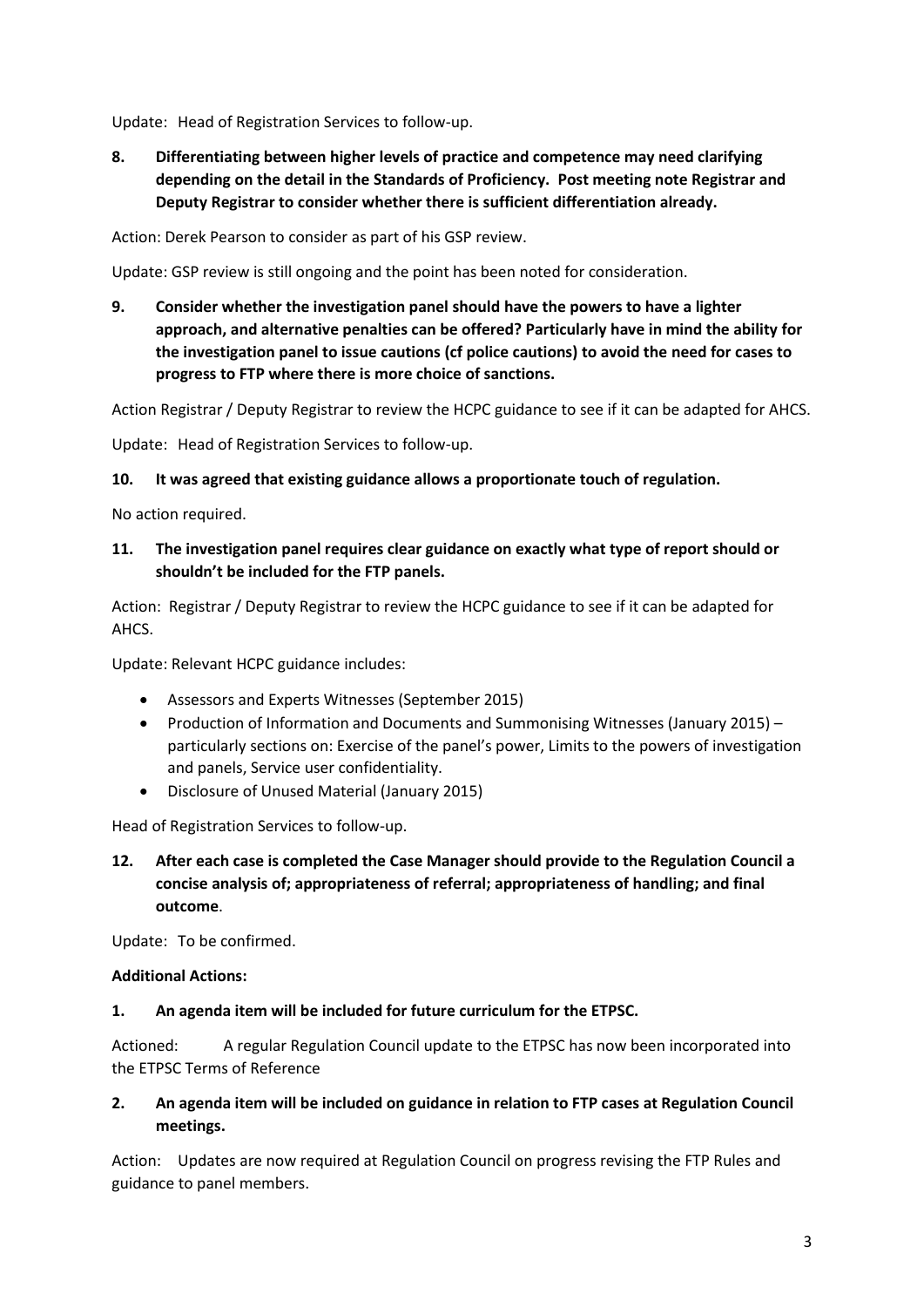Update: Head of Registration Services to follow-up.

**8. Differentiating between higher levels of practice and competence may need clarifying depending on the detail in the Standards of Proficiency. Post meeting note Registrar and Deputy Registrar to consider whether there is sufficient differentiation already.** 

Action: Derek Pearson to consider as part of his GSP review.

Update: GSP review is still ongoing and the point has been noted for consideration.

**9. Consider whether the investigation panel should have the powers to have a lighter approach, and alternative penalties can be offered? Particularly have in mind the ability for the investigation panel to issue cautions (cf police cautions) to avoid the need for cases to progress to FTP where there is more choice of sanctions.** 

Action Registrar / Deputy Registrar to review the HCPC guidance to see if it can be adapted for AHCS.

Update: Head of Registration Services to follow-up.

### **10. It was agreed that existing guidance allows a proportionate touch of regulation.**

No action required.

## **11. The investigation panel requires clear guidance on exactly what type of report should or shouldn't be included for the FTP panels.**

Action: Registrar / Deputy Registrar to review the HCPC guidance to see if it can be adapted for AHCS.

Update: Relevant HCPC guidance includes:

- Assessors and Experts Witnesses (September 2015)
- Production of Information and Documents and Summonising Witnesses (January 2015) particularly sections on: Exercise of the panel's power, Limits to the powers of investigation and panels, Service user confidentiality.
- Disclosure of Unused Material (January 2015)

Head of Registration Services to follow-up.

**12. After each case is completed the Case Manager should provide to the Regulation Council a concise analysis of; appropriateness of referral; appropriateness of handling; and final outcome**.

Update: To be confirmed.

### **Additional Actions:**

### **1. An agenda item will be included for future curriculum for the ETPSC.**

Actioned: A regular Regulation Council update to the ETPSC has now been incorporated into the ETPSC Terms of Reference

## **2. An agenda item will be included on guidance in relation to FTP cases at Regulation Council meetings.**

Action: Updates are now required at Regulation Council on progress revising the FTP Rules and guidance to panel members.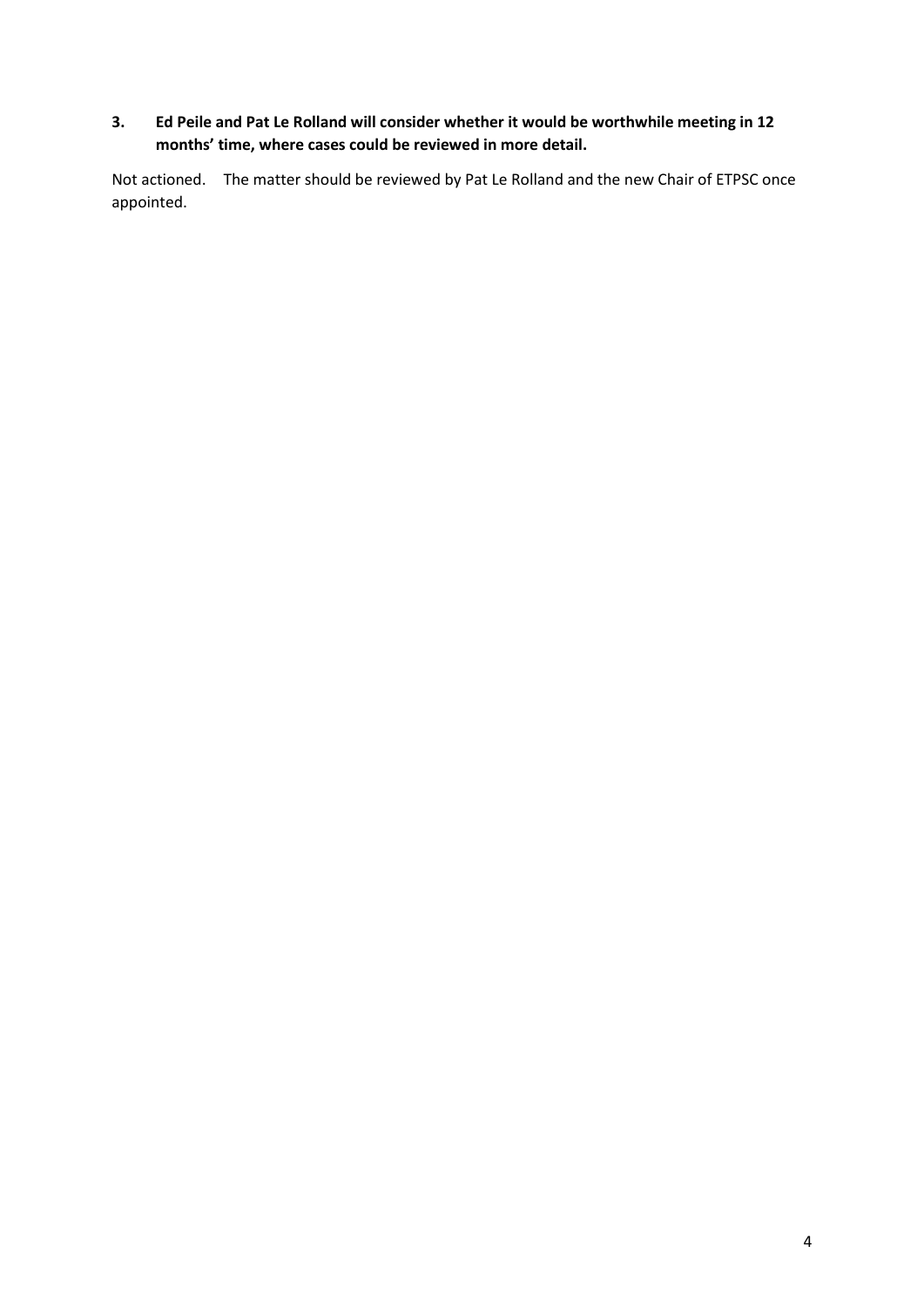# **3. Ed Peile and Pat Le Rolland will consider whether it would be worthwhile meeting in 12 months' time, where cases could be reviewed in more detail.**

Not actioned. The matter should be reviewed by Pat Le Rolland and the new Chair of ETPSC once appointed.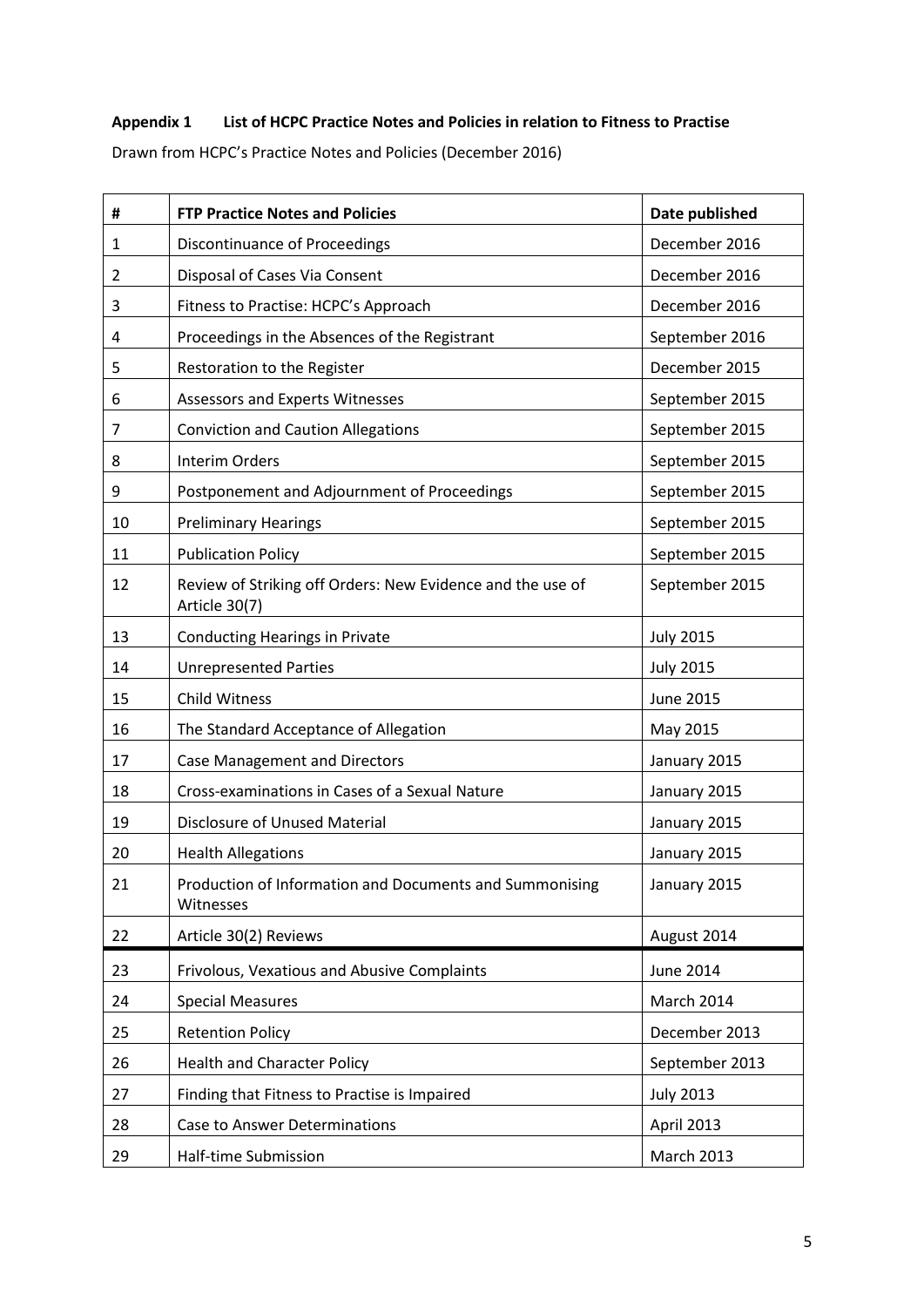# **Appendix 1 List of HCPC Practice Notes and Policies in relation to Fitness to Practise**

Drawn from HCPC's Practice Notes and Policies (December 2016)

| #              | <b>FTP Practice Notes and Policies</b>                                      | Date published    |
|----------------|-----------------------------------------------------------------------------|-------------------|
| 1              | <b>Discontinuance of Proceedings</b>                                        | December 2016     |
| $\overline{2}$ | Disposal of Cases Via Consent                                               | December 2016     |
| 3              | Fitness to Practise: HCPC's Approach                                        | December 2016     |
| 4              | Proceedings in the Absences of the Registrant                               | September 2016    |
| 5              | Restoration to the Register                                                 | December 2015     |
| 6              | Assessors and Experts Witnesses                                             | September 2015    |
| 7              | <b>Conviction and Caution Allegations</b>                                   | September 2015    |
| 8              | <b>Interim Orders</b>                                                       | September 2015    |
| 9              | Postponement and Adjournment of Proceedings                                 | September 2015    |
| 10             | <b>Preliminary Hearings</b>                                                 | September 2015    |
| 11             | <b>Publication Policy</b>                                                   | September 2015    |
| 12             | Review of Striking off Orders: New Evidence and the use of<br>Article 30(7) | September 2015    |
| 13             | <b>Conducting Hearings in Private</b>                                       | <b>July 2015</b>  |
| 14             | <b>Unrepresented Parties</b>                                                | <b>July 2015</b>  |
| 15             | <b>Child Witness</b>                                                        | <b>June 2015</b>  |
| 16             | The Standard Acceptance of Allegation                                       | May 2015          |
| 17             | <b>Case Management and Directors</b>                                        | January 2015      |
| 18             | Cross-examinations in Cases of a Sexual Nature                              | January 2015      |
| 19             | Disclosure of Unused Material                                               | January 2015      |
| 20             | <b>Health Allegations</b>                                                   | January 2015      |
| 21             | Production of Information and Documents and Summonising<br>Witnesses        | January 2015      |
| 22             | Article 30(2) Reviews                                                       | August 2014       |
| 23             | Frivolous, Vexatious and Abusive Complaints                                 | <b>June 2014</b>  |
| 24             | <b>Special Measures</b>                                                     | March 2014        |
| 25             | <b>Retention Policy</b>                                                     | December 2013     |
| 26             | <b>Health and Character Policy</b>                                          | September 2013    |
| 27             | Finding that Fitness to Practise is Impaired                                | <b>July 2013</b>  |
| 28             | Case to Answer Determinations                                               | April 2013        |
| 29             | Half-time Submission                                                        | <b>March 2013</b> |